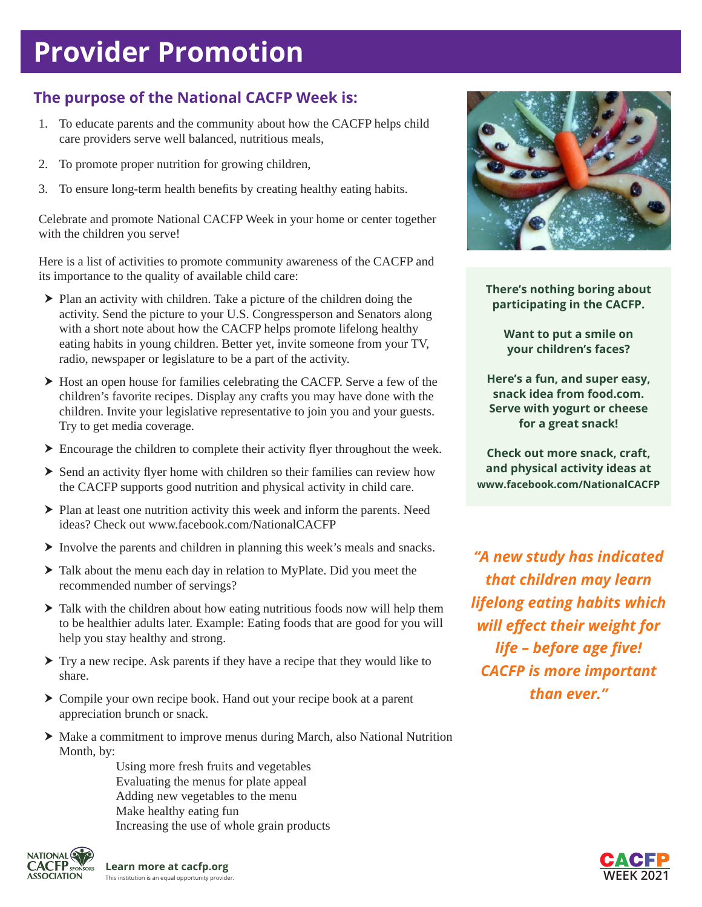# **Provider Promotion**

### **The purpose of the National CACFP Week is:**

- 1. To educate parents and the community about how the CACFP helps child care providers serve well balanced, nutritious meals,
- 2. To promote proper nutrition for growing children,
- 3. To ensure long-term health benefits by creating healthy eating habits.

Celebrate and promote National CACFP Week in your home or center together with the children you serve!

Here is a list of activities to promote community awareness of the CACFP and its importance to the quality of available child care:

- $\blacktriangleright$  Plan an activity with children. Take a picture of the children doing the activity. Send the picture to your U.S. Congressperson and Senators along with a short note about how the CACFP helps promote lifelong healthy eating habits in young children. Better yet, invite someone from your TV, radio, newspaper or legislature to be a part of the activity.
- $\blacktriangleright$  Host an open house for families celebrating the CACFP. Serve a few of the children's favorite recipes. Display any crafts you may have done with the children. Invite your legislative representative to join you and your guests. Try to get media coverage.
- $\triangleright$  Encourage the children to complete their activity flyer throughout the week.
- $\triangleright$  Send an activity flyer home with children so their families can review how the CACFP supports good nutrition and physical activity in child care.
- $\blacktriangleright$  Plan at least one nutrition activity this week and inform the parents. Need ideas? Check out www.facebook.com/NationalCACFP
- > Involve the parents and children in planning this week's meals and snacks.
- $\blacktriangleright$  Talk about the menu each day in relation to MyPlate. Did you meet the recommended number of servings?
- $\triangleright$  Talk with the children about how eating nutritious foods now will help them to be healthier adults later. Example: Eating foods that are good for you will help you stay healthy and strong.
- $\triangleright$  Try a new recipe. Ask parents if they have a recipe that they would like to share.
- ▶ Compile your own recipe book. Hand out your recipe book at a parent appreciation brunch or snack.
- ▶ Make a commitment to improve menus during March, also National Nutrition Month, by:

 Using more fresh fruits and vegetables Evaluating the menus for plate appeal Adding new vegetables to the menu Make healthy eating fun Increasing the use of whole grain products





**There's nothing boring about participating in the CACFP.**

> **Want to put a smile on your children's faces?**

**Here's a fun, and super easy, snack idea from food.com. Serve with yogurt or cheese for a great snack!**

**Check out more snack, craft, and physical activity ideas at www.facebook.com/NationalCACFP**

*"A new study has indicated that children may learn lifelong eating habits which will effect their weight for life – before age five! CACFP is more important than ever."*

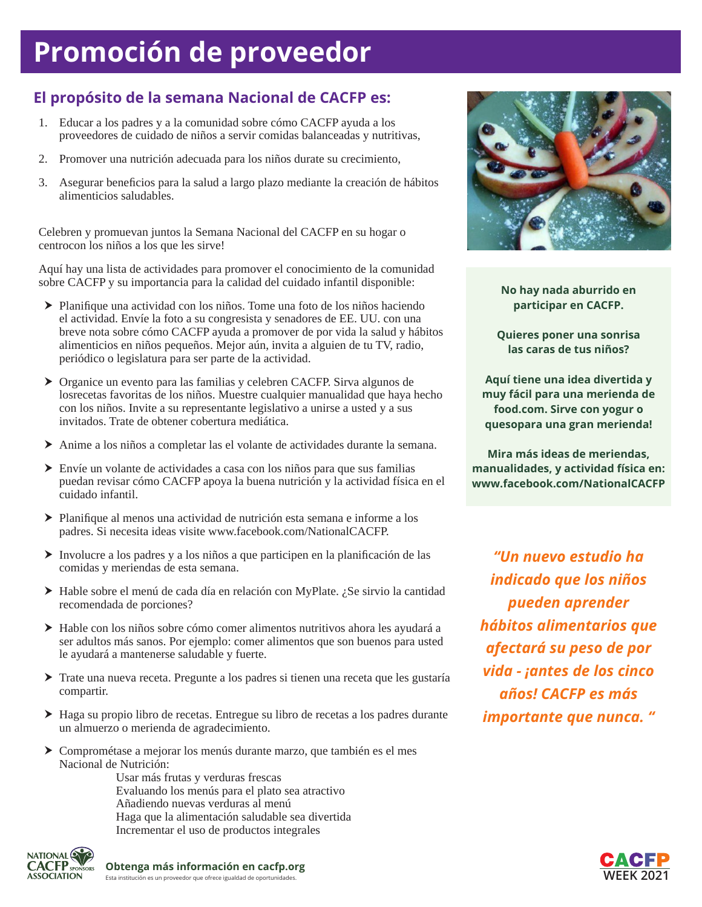# **Promoción de proveedor**

### **El propósito de la semana Nacional de CACFP es:**

- 1. Educar a los padres y a la comunidad sobre cómo CACFP ayuda a los proveedores de cuidado de niños a servir comidas balanceadas y nutritivas,
- 2. Promover una nutrición adecuada para los niños durate su crecimiento,
- 3. Asegurar beneficios para la salud a largo plazo mediante la creación de hábitos alimenticios saludables.

Celebren y promuevan juntos la Semana Nacional del CACFP en su hogar o centrocon los niños a los que les sirve!

Aquí hay una lista de actividades para promover el conocimiento de la comunidad sobre CACFP y su importancia para la calidad del cuidado infantil disponible:

- h Planifique una actividad con los niños. Tome una foto de los niños haciendo el actividad. Envíe la foto a su congresista y senadores de EE. UU. con una breve nota sobre cómo CACFP ayuda a promover de por vida la salud y hábitos alimenticios en niños pequeños. Mejor aún, invita a alguien de tu TV, radio, periódico o legislatura para ser parte de la actividad.
- ▶ Organice un evento para las familias y celebren CACFP. Sirva algunos de losrecetas favoritas de los niños. Muestre cualquier manualidad que haya hecho con los niños. Invite a su representante legislativo a unirse a usted y a sus invitados. Trate de obtener cobertura mediática.
- h Anime a los niños a completar las el volante de actividades durante la semana.
- $\triangleright$  Envíe un volante de actividades a casa con los niños para que sus familias puedan revisar cómo CACFP apoya la buena nutrición y la actividad física en el cuidado infantil.
- h Planifique al menos una actividad de nutrición esta semana e informe a los padres. Si necesita ideas visite www.facebook.com/NationalCACFP.
- $\triangleright$  Involucre a los padres y a los niños a que participen en la planificación de las comidas y meriendas de esta semana.
- ▶ Hable sobre el menú de cada día en relación con MyPlate. ¿Se sirvio la cantidad recomendada de porciones?
- $\blacktriangleright$  Hable con los niños sobre cómo comer alimentos nutritivos ahora les ayudará a ser adultos más sanos. Por ejemplo: comer alimentos que son buenos para usted le ayudará a mantenerse saludable y fuerte.
- h Trate una nueva receta. Pregunte a los padres si tienen una receta que les gustaría compartir.
- $\triangleright$  Haga su propio libro de recetas. Entregue su libro de recetas a los padres durante un almuerzo o merienda de agradecimiento.
- h Comprométase a mejorar los menús durante marzo, que también es el mes Nacional de Nutrición:

Usar más frutas y verduras frescas Evaluando los menús para el plato sea atractivo Añadiendo nuevas verduras al menú Haga que la alimentación saludable sea divertida Incrementar el uso de productos integrales





**No hay nada aburrido en participar en CACFP.**

**Quieres poner una sonrisa las caras de tus niños?**

**Aquí tiene una idea divertida y muy fácil para una merienda de food.com. Sirve con yogur o quesopara una gran merienda!**

**Mira más ideas de meriendas, manualidades, y actividad física en: www.facebook.com/NationalCACFP**

*"Un nuevo estudio ha indicado que los niños pueden aprender hábitos alimentarios que afectará su peso de por vida - ¡antes de los cinco años! CACFP es más importante que nunca. "*